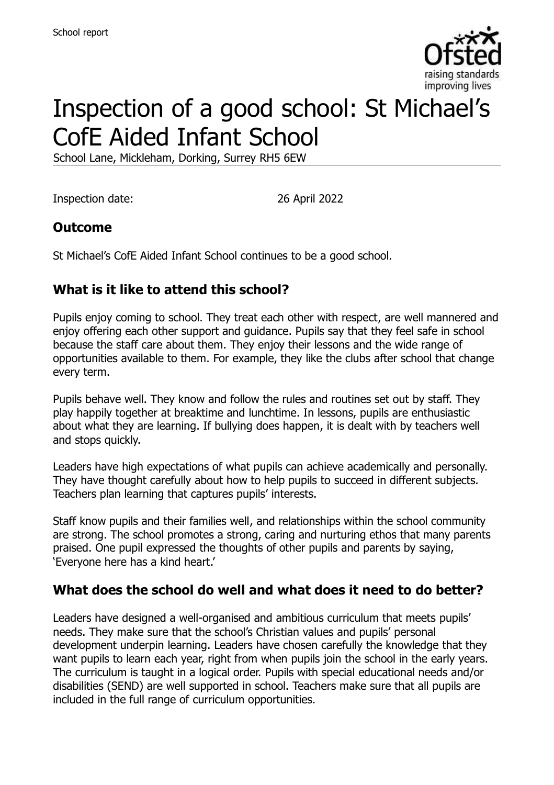

# Inspection of a good school: St Michael's CofE Aided Infant School

School Lane, Mickleham, Dorking, Surrey RH5 6EW

Inspection date: 26 April 2022

# **Outcome**

St Michael's CofE Aided Infant School continues to be a good school.

# **What is it like to attend this school?**

Pupils enjoy coming to school. They treat each other with respect, are well mannered and enjoy offering each other support and guidance. Pupils say that they feel safe in school because the staff care about them. They enjoy their lessons and the wide range of opportunities available to them. For example, they like the clubs after school that change every term.

Pupils behave well. They know and follow the rules and routines set out by staff. They play happily together at breaktime and lunchtime. In lessons, pupils are enthusiastic about what they are learning. If bullying does happen, it is dealt with by teachers well and stops quickly.

Leaders have high expectations of what pupils can achieve academically and personally. They have thought carefully about how to help pupils to succeed in different subjects. Teachers plan learning that captures pupils' interests.

Staff know pupils and their families well, and relationships within the school community are strong. The school promotes a strong, caring and nurturing ethos that many parents praised. One pupil expressed the thoughts of other pupils and parents by saying, 'Everyone here has a kind heart.'

#### **What does the school do well and what does it need to do better?**

Leaders have designed a well-organised and ambitious curriculum that meets pupils' needs. They make sure that the school's Christian values and pupils' personal development underpin learning. Leaders have chosen carefully the knowledge that they want pupils to learn each year, right from when pupils join the school in the early years. The curriculum is taught in a logical order. Pupils with special educational needs and/or disabilities (SEND) are well supported in school. Teachers make sure that all pupils are included in the full range of curriculum opportunities.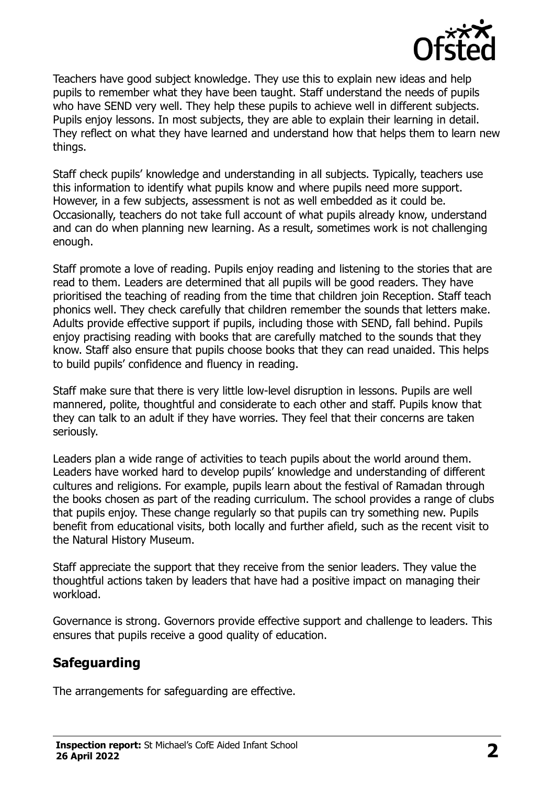

Teachers have good subject knowledge. They use this to explain new ideas and help pupils to remember what they have been taught. Staff understand the needs of pupils who have SEND very well. They help these pupils to achieve well in different subjects. Pupils enjoy lessons. In most subjects, they are able to explain their learning in detail. They reflect on what they have learned and understand how that helps them to learn new things.

Staff check pupils' knowledge and understanding in all subjects. Typically, teachers use this information to identify what pupils know and where pupils need more support. However, in a few subjects, assessment is not as well embedded as it could be. Occasionally, teachers do not take full account of what pupils already know, understand and can do when planning new learning. As a result, sometimes work is not challenging enough.

Staff promote a love of reading. Pupils enjoy reading and listening to the stories that are read to them. Leaders are determined that all pupils will be good readers. They have prioritised the teaching of reading from the time that children join Reception. Staff teach phonics well. They check carefully that children remember the sounds that letters make. Adults provide effective support if pupils, including those with SEND, fall behind. Pupils enjoy practising reading with books that are carefully matched to the sounds that they know. Staff also ensure that pupils choose books that they can read unaided. This helps to build pupils' confidence and fluency in reading.

Staff make sure that there is very little low-level disruption in lessons. Pupils are well mannered, polite, thoughtful and considerate to each other and staff. Pupils know that they can talk to an adult if they have worries. They feel that their concerns are taken seriously.

Leaders plan a wide range of activities to teach pupils about the world around them. Leaders have worked hard to develop pupils' knowledge and understanding of different cultures and religions. For example, pupils learn about the festival of Ramadan through the books chosen as part of the reading curriculum. The school provides a range of clubs that pupils enjoy. These change regularly so that pupils can try something new. Pupils benefit from educational visits, both locally and further afield, such as the recent visit to the Natural History Museum.

Staff appreciate the support that they receive from the senior leaders. They value the thoughtful actions taken by leaders that have had a positive impact on managing their workload.

Governance is strong. Governors provide effective support and challenge to leaders. This ensures that pupils receive a good quality of education.

### **Safeguarding**

The arrangements for safeguarding are effective.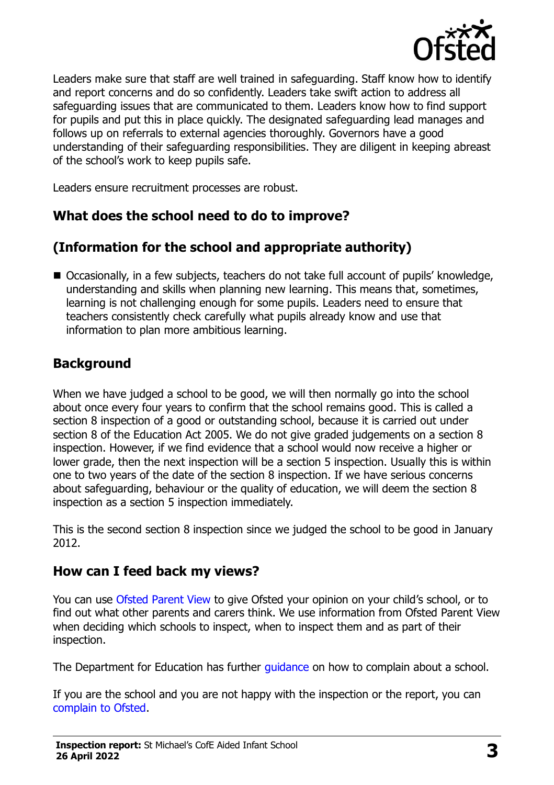

Leaders make sure that staff are well trained in safeguarding. Staff know how to identify and report concerns and do so confidently. Leaders take swift action to address all safeguarding issues that are communicated to them. Leaders know how to find support for pupils and put this in place quickly. The designated safeguarding lead manages and follows up on referrals to external agencies thoroughly. Governors have a good understanding of their safeguarding responsibilities. They are diligent in keeping abreast of the school's work to keep pupils safe.

Leaders ensure recruitment processes are robust.

### **What does the school need to do to improve?**

# **(Information for the school and appropriate authority)**

■ Occasionally, in a few subjects, teachers do not take full account of pupils' knowledge, understanding and skills when planning new learning. This means that, sometimes, learning is not challenging enough for some pupils. Leaders need to ensure that teachers consistently check carefully what pupils already know and use that information to plan more ambitious learning.

### **Background**

When we have judged a school to be good, we will then normally go into the school about once every four years to confirm that the school remains good. This is called a section 8 inspection of a good or outstanding school, because it is carried out under section 8 of the Education Act 2005. We do not give graded judgements on a section 8 inspection. However, if we find evidence that a school would now receive a higher or lower grade, then the next inspection will be a section 5 inspection. Usually this is within one to two years of the date of the section 8 inspection. If we have serious concerns about safeguarding, behaviour or the quality of education, we will deem the section 8 inspection as a section 5 inspection immediately.

This is the second section 8 inspection since we judged the school to be good in January 2012.

#### **How can I feed back my views?**

You can use [Ofsted Parent View](https://parentview.ofsted.gov.uk/) to give Ofsted your opinion on your child's school, or to find out what other parents and carers think. We use information from Ofsted Parent View when deciding which schools to inspect, when to inspect them and as part of their inspection.

The Department for Education has further quidance on how to complain about a school.

If you are the school and you are not happy with the inspection or the report, you can [complain to Ofsted.](https://www.gov.uk/complain-ofsted-report)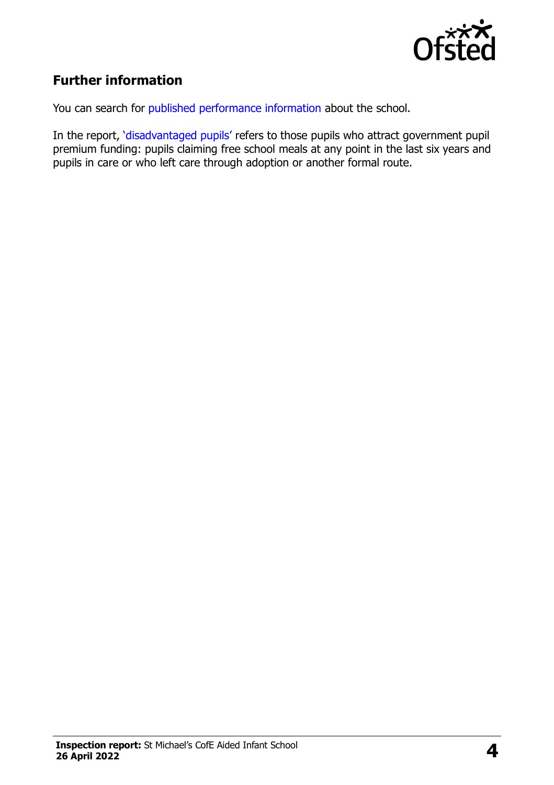

# **Further information**

You can search for [published performance information](http://www.compare-school-performance.service.gov.uk/) about the school.

In the report, '[disadvantaged pupils](http://www.gov.uk/guidance/pupil-premium-information-for-schools-and-alternative-provision-settings)' refers to those pupils who attract government pupil premium funding: pupils claiming free school meals at any point in the last six years and pupils in care or who left care through adoption or another formal route.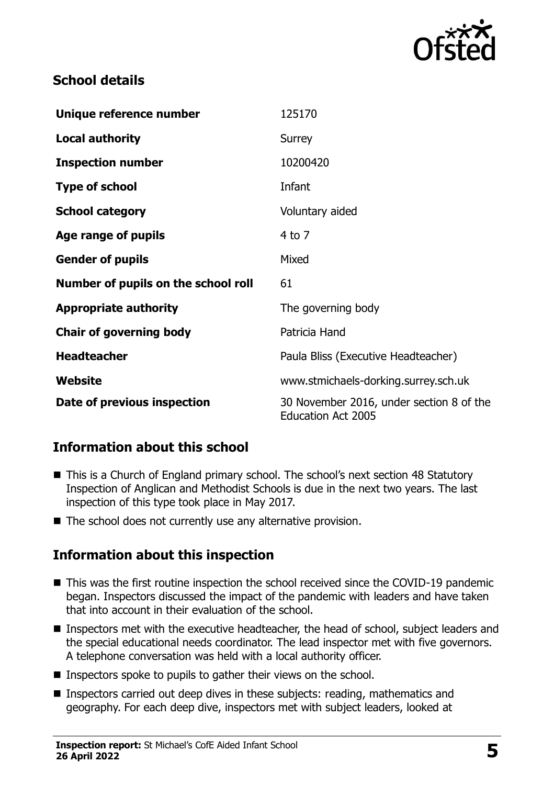

### **School details**

| Unique reference number             | 125170                                                                |
|-------------------------------------|-----------------------------------------------------------------------|
| <b>Local authority</b>              | Surrey                                                                |
| <b>Inspection number</b>            | 10200420                                                              |
| <b>Type of school</b>               | Infant                                                                |
| <b>School category</b>              | Voluntary aided                                                       |
| Age range of pupils                 | 4 to 7                                                                |
| <b>Gender of pupils</b>             | Mixed                                                                 |
| Number of pupils on the school roll | 61                                                                    |
| <b>Appropriate authority</b>        | The governing body                                                    |
| <b>Chair of governing body</b>      | Patricia Hand                                                         |
| <b>Headteacher</b>                  | Paula Bliss (Executive Headteacher)                                   |
| Website                             | www.stmichaels-dorking.surrey.sch.uk                                  |
| Date of previous inspection         | 30 November 2016, under section 8 of the<br><b>Education Act 2005</b> |

# **Information about this school**

- This is a Church of England primary school. The school's next section 48 Statutory Inspection of Anglican and Methodist Schools is due in the next two years. The last inspection of this type took place in May 2017.
- The school does not currently use any alternative provision.

# **Information about this inspection**

- This was the first routine inspection the school received since the COVID-19 pandemic began. Inspectors discussed the impact of the pandemic with leaders and have taken that into account in their evaluation of the school.
- Inspectors met with the executive headteacher, the head of school, subject leaders and the special educational needs coordinator. The lead inspector met with five governors. A telephone conversation was held with a local authority officer.
- Inspectors spoke to pupils to gather their views on the school.
- Inspectors carried out deep dives in these subjects: reading, mathematics and geography. For each deep dive, inspectors met with subject leaders, looked at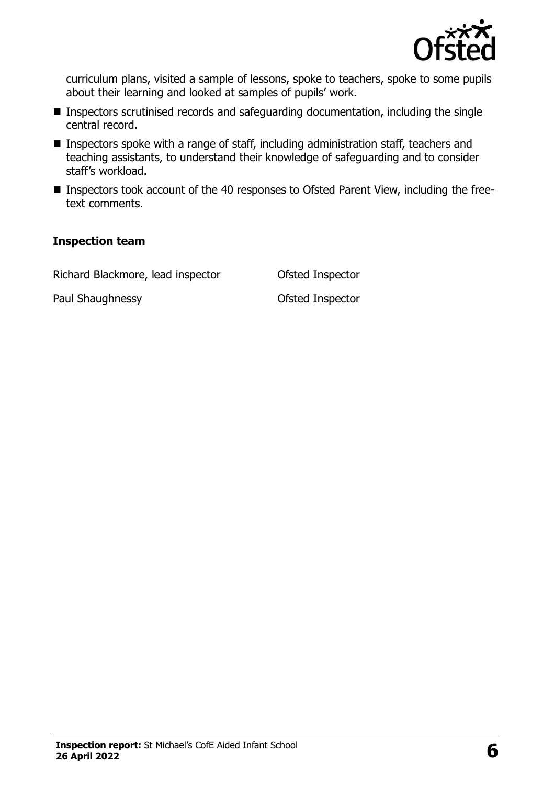

curriculum plans, visited a sample of lessons, spoke to teachers, spoke to some pupils about their learning and looked at samples of pupils' work.

- Inspectors scrutinised records and safeguarding documentation, including the single central record.
- Inspectors spoke with a range of staff, including administration staff, teachers and teaching assistants, to understand their knowledge of safeguarding and to consider staff's workload.
- Inspectors took account of the 40 responses to Ofsted Parent View, including the freetext comments.

#### **Inspection team**

Richard Blackmore, lead inspector Ofsted Inspector

Paul Shaughnessy **Districts** Ofsted Inspector